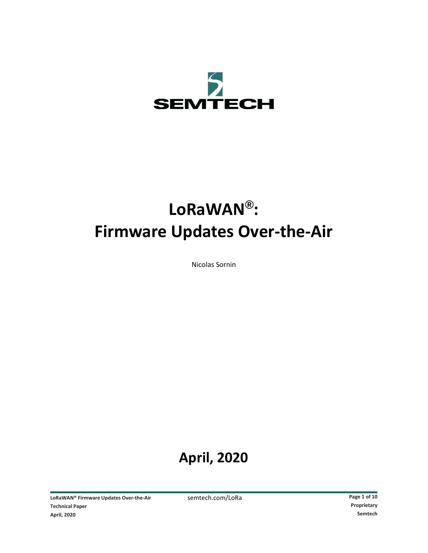

# **LoRaWAN®: Firmware Updates Over-the-Air**

Nicolas Sornin

## **April, 2020**

LoRaWAN® Firmware Updates Over-the-Air semtech.com/LoRa **Page 1** of 10<br>
Technical Paper Proprietary **Technical Paper April, 2020 Semtech**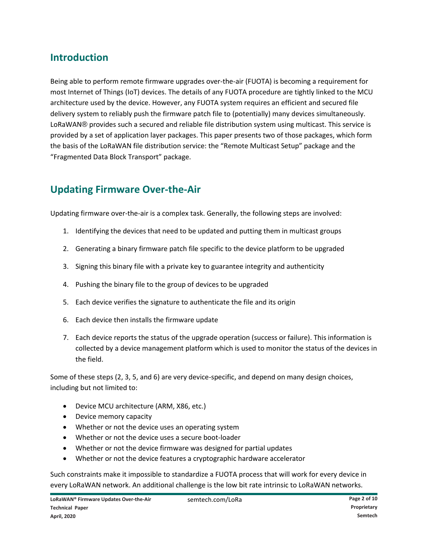#### **Introduction**

Being able to perform remote firmware upgrades over-the-air (FUOTA) is becoming a requirement for most Internet of Things (IoT) devices. The details of any FUOTA procedure are tightly linked to the MCU architecture used by the device. However, any FUOTA system requires an efficient and secured file delivery system to reliably push the firmware patch file to (potentially) many devices simultaneously. LoRaWAN® provides such a secured and reliable file distribution system using multicast. This service is provided by a set of application layer packages. This paper presents two of those packages, which form the basis of the LoRaWAN file distribution service: the "Remote Multicast Setup" package and the "Fragmented Data Block Transport" package.

#### **Updating Firmware Over-the-Air**

Updating firmware over-the-air is a complex task. Generally, the following steps are involved:

- 1. Identifying the devices that need to be updated and putting them in multicast groups
- 2. Generating a binary firmware patch file specific to the device platform to be upgraded
- 3. Signing this binary file with a private key to guarantee integrity and authenticity
- 4. Pushing the binary file to the group of devices to be upgraded
- 5. Each device verifies the signature to authenticate the file and its origin
- 6. Each device then installs the firmware update
- 7. Each device reports the status of the upgrade operation (success or failure). This information is collected by a device management platform which is used to monitor the status of the devices in the field.

Some of these steps (2, 3, 5, and 6) are very device-specific, and depend on many design choices, including but not limited to:

- Device MCU architecture (ARM, X86, etc.)
- Device memory capacity
- Whether or not the device uses an operating system
- Whether or not the device uses a secure boot-loader
- Whether or not the device firmware was designed for partial updates
- Whether or not the device features a cryptographic hardware accelerator

Such constraints make it impossible to standardize a FUOTA process that will work for every device in every LoRaWAN network. An additional challenge is the low bit rate intrinsic to LoRaWAN networks.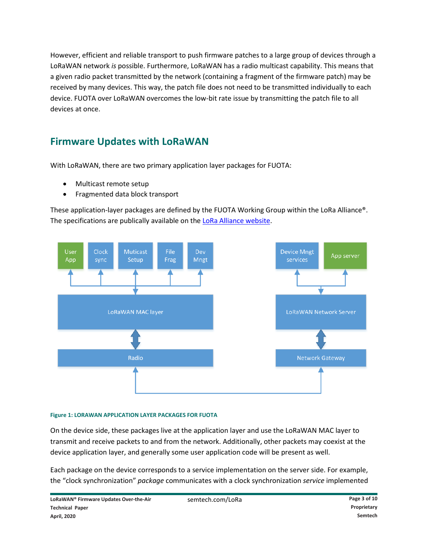However, efficient and reliable transport to push firmware patches to a large group of devices through a LoRaWAN network *is* possible. Furthermore, LoRaWAN has a radio multicast capability. This means that a given radio packet transmitted by the network (containing a fragment of the firmware patch) may be received by many devices. This way, the patch file does not need to be transmitted individually to each device. FUOTA over LoRaWAN overcomes the low-bit rate issue by transmitting the patch file to all devices at once.

#### **Firmware Updates with LoRaWAN**

With LoRaWAN, there are two primary application layer packages for FUOTA:

- Multicast remote setup
- Fragmented data block transport

These application-layer packages are defined by the FUOTA Working Group within the LoRa Alliance®. The specifications are publically available on th[e LoRa Alliance website.](https://lora-alliance.org/)



#### **Figure 1: LORAWAN APPLICATION LAYER PACKAGES FOR FUOTA**

On the device side, these packages live at the application layer and use the LoRaWAN MAC layer to transmit and receive packets to and from the network. Additionally, other packets may coexist at the device application layer, and generally some user application code will be present as well.

Each package on the device corresponds to a service implementation on the server side. For example, the "clock synchronization" *package* communicates with a clock synchronization *service* implemented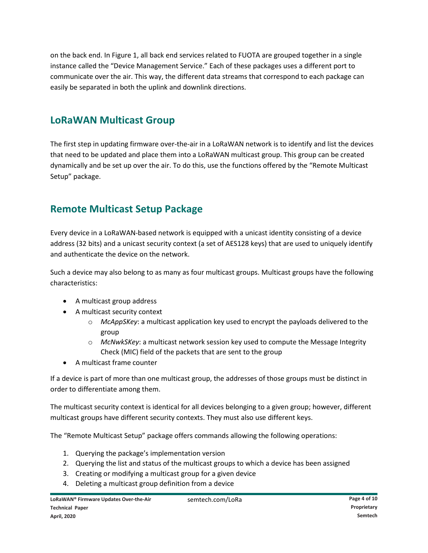on the back end. In Figure 1, all back end services related to FUOTA are grouped together in a single instance called the "Device Management Service." Each of these packages uses a different port to communicate over the air. This way, the different data streams that correspond to each package can easily be separated in both the uplink and downlink directions.

#### **LoRaWAN Multicast Group**

The first step in updating firmware over-the-air in a LoRaWAN network is to identify and list the devices that need to be updated and place them into a LoRaWAN multicast group. This group can be created dynamically and be set up over the air. To do this, use the functions offered by the "Remote Multicast Setup" package.

#### **Remote Multicast Setup Package**

Every device in a LoRaWAN-based network is equipped with a unicast identity consisting of a device address (32 bits) and a unicast security context (a set of AES128 keys) that are used to uniquely identify and authenticate the device on the network.

Such a device may also belong to as many as four multicast groups. Multicast groups have the following characteristics:

- A multicast group address
- A multicast security context
	- o *McAppSKey*: a multicast application key used to encrypt the payloads delivered to the group
	- o *McNwkSKey*: a multicast network session key used to compute the Message Integrity Check (MIC) field of the packets that are sent to the group
- A multicast frame counter

If a device is part of more than one multicast group, the addresses of those groups must be distinct in order to differentiate among them.

The multicast security context is identical for all devices belonging to a given group; however, different multicast groups have different security contexts. They must also use different keys.

The "Remote Multicast Setup" package offers commands allowing the following operations:

- 1. Querying the package's implementation version
- 2. Querying the list and status of the multicast groups to which a device has been assigned
- 3. Creating or modifying a multicast group for a given device
- 4. Deleting a multicast group definition from a device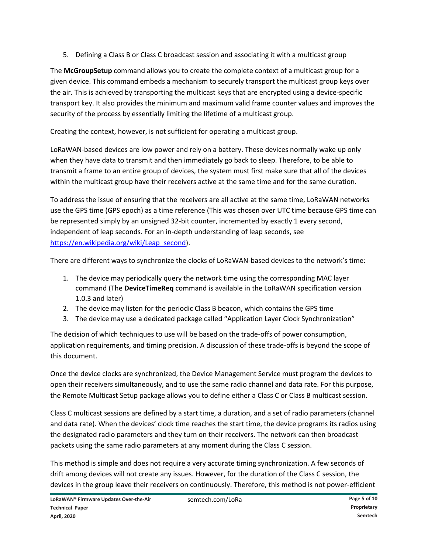5. Defining a Class B or Class C broadcast session and associating it with a multicast group

The **McGroupSetup** command allows you to create the complete context of a multicast group for a given device. This command embeds a mechanism to securely transport the multicast group keys over the air. This is achieved by transporting the multicast keys that are encrypted using a device-specific transport key. It also provides the minimum and maximum valid frame counter values and improves the security of the process by essentially limiting the lifetime of a multicast group.

Creating the context, however, is not sufficient for operating a multicast group.

LoRaWAN-based devices are low power and rely on a battery. These devices normally wake up only when they have data to transmit and then immediately go back to sleep. Therefore, to be able to transmit a frame to an entire group of devices, the system must first make sure that all of the devices within the multicast group have their receivers active at the same time and for the same duration.

To address the issue of ensuring that the receivers are all active at the same time, LoRaWAN networks use the GPS time (GPS epoch) as a time reference (This was chosen over UTC time because GPS time can be represented simply by an unsigned 32-bit counter, incremented by exactly 1 every second, independent of leap seconds. For an in-depth understanding of leap seconds, see [https://en.wikipedia.org/wiki/Leap\\_second\)](https://en.wikipedia.org/wiki/Leap_second).

There are different ways to synchronize the clocks of LoRaWAN-based devices to the network's time:

- 1. The device may periodically query the network time using the corresponding MAC layer command (The **DeviceTimeReq** command is available in the LoRaWAN specification version 1.0.3 and later)
- 2. The device may listen for the periodic Class B beacon, which contains the GPS time
- 3. The device may use a dedicated package called "Application Layer Clock Synchronization"

The decision of which techniques to use will be based on the trade-offs of power consumption, application requirements, and timing precision. A discussion of these trade-offs is beyond the scope of this document.

Once the device clocks are synchronized, the Device Management Service must program the devices to open their receivers simultaneously, and to use the same radio channel and data rate. For this purpose, the Remote Multicast Setup package allows you to define either a Class C or Class B multicast session.

Class C multicast sessions are defined by a start time, a duration, and a set of radio parameters (channel and data rate). When the devices' clock time reaches the start time, the device programs its radios using the designated radio parameters and they turn on their receivers. The network can then broadcast packets using the same radio parameters at any moment during the Class C session.

This method is simple and does not require a very accurate timing synchronization. A few seconds of drift among devices will not create any issues. However, for the duration of the Class C session, the devices in the group leave their receivers on continuously. Therefore, this method is not power-efficient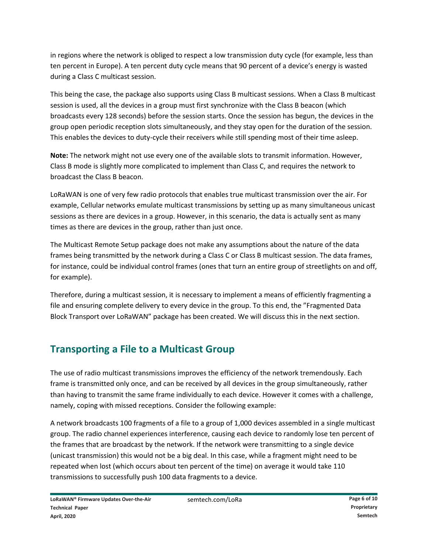in regions where the network is obliged to respect a low transmission duty cycle (for example, less than ten percent in Europe). A ten percent duty cycle means that 90 percent of a device's energy is wasted during a Class C multicast session.

This being the case, the package also supports using Class B multicast sessions. When a Class B multicast session is used, all the devices in a group must first synchronize with the Class B beacon (which broadcasts every 128 seconds) before the session starts. Once the session has begun, the devices in the group open periodic reception slots simultaneously, and they stay open for the duration of the session. This enables the devices to duty-cycle their receivers while still spending most of their time asleep.

**Note:** The network might not use every one of the available slots to transmit information. However, Class B mode is slightly more complicated to implement than Class C, and requires the network to broadcast the Class B beacon.

LoRaWAN is one of very few radio protocols that enables true multicast transmission over the air. For example, Cellular networks emulate multicast transmissions by setting up as many simultaneous unicast sessions as there are devices in a group. However, in this scenario, the data is actually sent as many times as there are devices in the group, rather than just once.

The Multicast Remote Setup package does not make any assumptions about the nature of the data frames being transmitted by the network during a Class C or Class B multicast session. The data frames, for instance, could be individual control frames (ones that turn an entire group of streetlights on and off, for example).

Therefore, during a multicast session, it is necessary to implement a means of efficiently fragmenting a file and ensuring complete delivery to every device in the group. To this end, the "Fragmented Data Block Transport over LoRaWAN" package has been created. We will discuss this in the next section.

### **Transporting a File to a Multicast Group**

The use of radio multicast transmissions improves the efficiency of the network tremendously. Each frame is transmitted only once, and can be received by all devices in the group simultaneously, rather than having to transmit the same frame individually to each device. However it comes with a challenge, namely, coping with missed receptions. Consider the following example:

A network broadcasts 100 fragments of a file to a group of 1,000 devices assembled in a single multicast group. The radio channel experiences interference, causing each device to randomly lose ten percent of the frames that are broadcast by the network. If the network were transmitting to a single device (unicast transmission) this would not be a big deal. In this case, while a fragment might need to be repeated when lost (which occurs about ten percent of the time) on average it would take 110 transmissions to successfully push 100 data fragments to a device.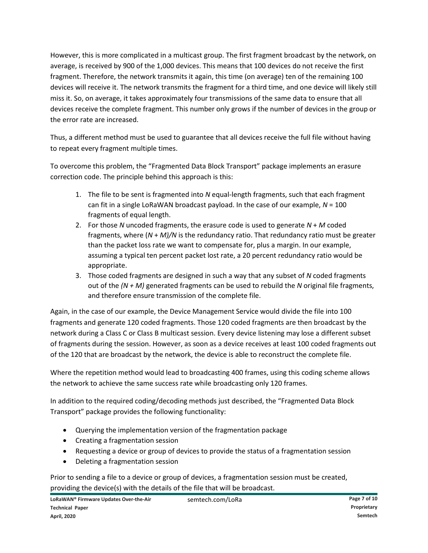However, this is more complicated in a multicast group. The first fragment broadcast by the network, on average, is received by 900 of the 1,000 devices. This means that 100 devices do not receive the first fragment. Therefore, the network transmits it again, this time (on average) ten of the remaining 100 devices will receive it. The network transmits the fragment for a third time, and one device will likely still miss it. So, on average, it takes approximately four transmissions of the same data to ensure that all devices receive the complete fragment. This number only grows if the number of devices in the group or the error rate are increased.

Thus, a different method must be used to guarantee that all devices receive the full file without having to repeat every fragment multiple times.

To overcome this problem, the "Fragmented Data Block Transport" package implements an erasure correction code. The principle behind this approach is this:

- 1. The file to be sent is fragmented into *N* equal-length fragments, such that each fragment can fit in a single LoRaWAN broadcast payload. In the case of our example, *N* = 100 fragments of equal length.
- 2. For those *N* uncoded fragments, the erasure code is used to generate *N* + *M* coded fragments, where (*N* + *M)/N* is the redundancy ratio. That redundancy ratio must be greater than the packet loss rate we want to compensate for, plus a margin. In our example, assuming a typical ten percent packet lost rate, a 20 percent redundancy ratio would be appropriate.
- 3. Those coded fragments are designed in such a way that any subset of *N* coded fragments out of the *(N + M)* generated fragments can be used to rebuild the *N* original file fragments, and therefore ensure transmission of the complete file.

Again, in the case of our example, the Device Management Service would divide the file into 100 fragments and generate 120 coded fragments. Those 120 coded fragments are then broadcast by the network during a Class C or Class B multicast session. Every device listening may lose a different subset of fragments during the session. However, as soon as a device receives at least 100 coded fragments out of the 120 that are broadcast by the network, the device is able to reconstruct the complete file.

Where the repetition method would lead to broadcasting 400 frames, using this coding scheme allows the network to achieve the same success rate while broadcasting only 120 frames.

In addition to the required coding/decoding methods just described, the "Fragmented Data Block Transport" package provides the following functionality:

- Querying the implementation version of the fragmentation package
- Creating a fragmentation session
- Requesting a device or group of devices to provide the status of a fragmentation session
- Deleting a fragmentation session

Prior to sending a file to a device or group of devices, a fragmentation session must be created, providing the device(s) with the details of the file that will be broadcast.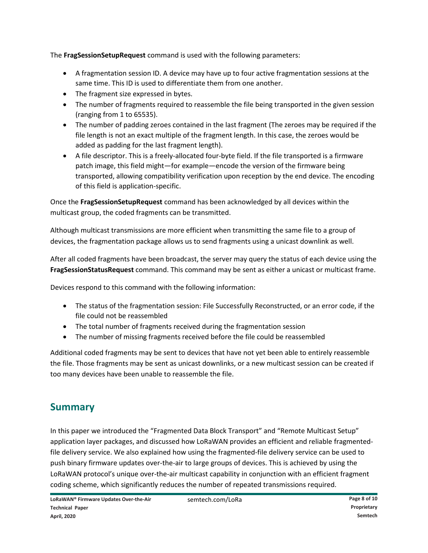The **FragSessionSetupRequest** command is used with the following parameters:

- A fragmentation session ID. A device may have up to four active fragmentation sessions at the same time. This ID is used to differentiate them from one another.
- The fragment size expressed in bytes.
- The number of fragments required to reassemble the file being transported in the given session (ranging from 1 to 65535).
- The number of padding zeroes contained in the last fragment (The zeroes may be required if the file length is not an exact multiple of the fragment length. In this case, the zeroes would be added as padding for the last fragment length).
- A file descriptor. This is a freely-allocated four-byte field. If the file transported is a firmware patch image, this field might—for example—encode the version of the firmware being transported, allowing compatibility verification upon reception by the end device. The encoding of this field is application-specific.

Once the **FragSessionSetupRequest** command has been acknowledged by all devices within the multicast group, the coded fragments can be transmitted.

Although multicast transmissions are more efficient when transmitting the same file to a group of devices, the fragmentation package allows us to send fragments using a unicast downlink as well.

After all coded fragments have been broadcast, the server may query the status of each device using the **FragSessionStatusRequest** command. This command may be sent as either a unicast or multicast frame.

Devices respond to this command with the following information:

- The status of the fragmentation session: File Successfully Reconstructed, or an error code, if the file could not be reassembled
- The total number of fragments received during the fragmentation session
- The number of missing fragments received before the file could be reassembled

Additional coded fragments may be sent to devices that have not yet been able to entirely reassemble the file. Those fragments may be sent as unicast downlinks, or a new multicast session can be created if too many devices have been unable to reassemble the file.

#### **Summary**

In this paper we introduced the "Fragmented Data Block Transport" and "Remote Multicast Setup" application layer packages, and discussed how LoRaWAN provides an efficient and reliable fragmentedfile delivery service. We also explained how using the fragmented-file delivery service can be used to push binary firmware updates over-the-air to large groups of devices. This is achieved by using the LoRaWAN protocol's unique over-the-air multicast capability in conjunction with an efficient fragment coding scheme, which significantly reduces the number of repeated transmissions required.